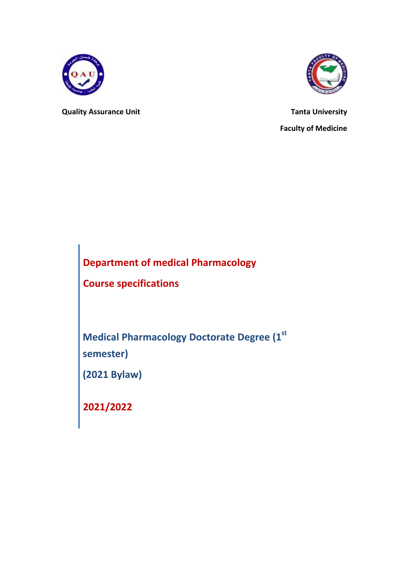

**Quality Assurance Unit Contract Contract Contract Contract Contract Contract Contract Contract Contract Contract Contract Contract Contract Contract Contract Contract Contract Contract Contract Contract Contract Contract** 

**Faculty of Medicine**

**Department of medical Pharmacology**

**Course specifications**

**Medical Pharmacology Doctorate Degree (1st semester)**

**(2021 Bylaw)**

**2021/2022**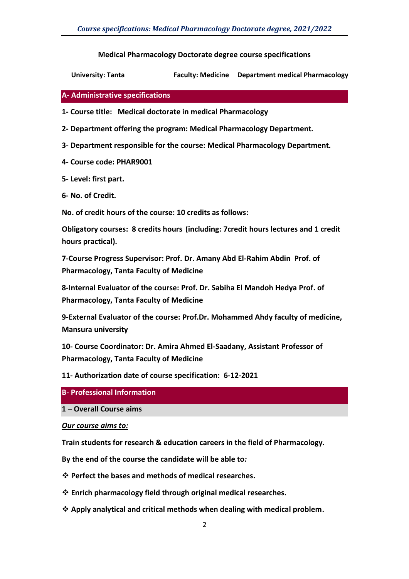**Medical Pharmacology Doctorate degree course specifications**

**University: Tanta Faculty: Medicine Department medical Pharmacology**

#### **A- Administrative specifications**

**1- Course title: Medical doctorate in medical Pharmacology**

- **2- Department offering the program: Medical Pharmacology Department***.*
- **3- Department responsible for the course: Medical Pharmacology Department***.*
- **4- Course code: PHAR9001**
- **5- Level: first part.**
- **6- No. of Credit.**

**No. of credit hours of the course: 10 credits as follows:**

**Obligatory courses: 8 credits hours (including: 7credit hours lectures and 1 credit hours practical).**

**7-Course Progress Supervisor: Prof. Dr. Amany Abd El-Rahim Abdin Prof. of Pharmacology, Tanta Faculty of Medicine**

**8-Internal Evaluator of the course: Prof. Dr. Sabiha El Mandoh Hedya Prof. of Pharmacology, Tanta Faculty of Medicine**

**9-External Evaluator of the course: Prof.Dr. Mohammed Ahdy faculty of medicine, Mansura university**

**10- Course Coordinator: Dr. Amira Ahmed El-Saadany, Assistant Professor of Pharmacology, Tanta Faculty of Medicine**

**11- Authorization date of course specification: 6-12-2021**

- **B- Professional Information**
- **1 – Overall Course aims**

*Our course aims to:*

**Train students for research & education careers in the field of Pharmacology.**

**By the end of the course the candidate will be able to***:* 

- **Perfect the bases and methods of medical researches.**
- **Enrich pharmacology field through original medical researches.**
- **Apply analytical and critical methods when dealing with medical problem.**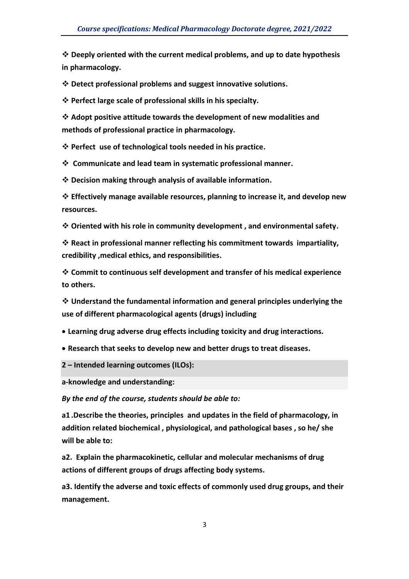**Deeply oriented with the current medical problems, and up to date hypothesis in pharmacology.** 

**Detect professional problems and suggest innovative solutions.**

**Perfect large scale of professional skills in his specialty.** 

 **Adopt positive attitude towards the development of new modalities and methods of professional practice in pharmacology.**

**Perfect use of technological tools needed in his practice.**

**Communicate and lead team in systematic professional manner.**

**Decision making through analysis of available information.**

 **Effectively manage available resources, planning to increase it, and develop new resources.**

**Oriented with his role in community development , and environmental safety.**

 **React in professional manner reflecting his commitment towards impartiality, credibility ,medical ethics, and responsibilities.**

 **Commit to continuous self development and transfer of his medical experience to others.**

 **Understand the fundamental information and general principles underlying the use of different pharmacological agents (drugs) including**

**Learning drug adverse drug effects including toxicity and drug interactions.**

**Research that seeks to develop new and better drugs to treat diseases.**

**2 – Intended learning outcomes (ILOs):**

**a-knowledge and understanding:**

*By the end of the course, students should be able to::*

**a1 .Describe the theories, principles and updates in the field of pharmacology, in addition related biochemical , physiological, and pathological bases , so he/ she will be able to:**

**a2. Explain the pharmacokinetic, cellular and molecular mechanisms of drug actions of different groups of drugs affecting body systems.**

**a3. Identify the adverse and toxic effects of commonly used drug groups, and their management.**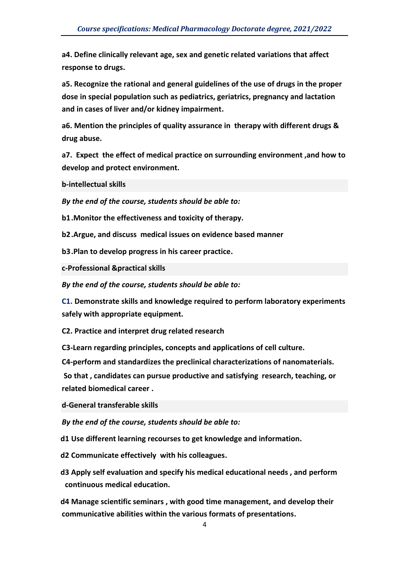**a4. Define clinically relevant age, sex and genetic related variations that affect response to drugs.**

**a5. Recognize the rational and general guidelines of the use of drugs in the proper dose in special population such as pediatrics, geriatrics, pregnancy and lactation and in cases of liver and/or kidney impairment.**

**a6. Mention the principles of quality assurance in therapy with different drugs & drug abuse.**

**a7. Expect the effect of medical practice on surrounding environment ,and how to develop and protect environment.**

**b-intellectual skills**

*By the end of the course, students should be able to:*

**b1.Monitor the effectiveness and toxicity of therapy.**

**b2.Argue, and discuss medical issues on evidence based manner**

**b3.Plan to develop progress in his career practice.**

**c-Professional &practical skills**

*By the end of the course, students should be able to:*

**C1. Demonstrate skills and knowledge required to perform laboratory experiments safely with appropriate equipment.** 

**C2. Practice and interpret drug related research**

**C3-Learn regarding principles, concepts and applications of cell culture.**

**C4-perform and standardizes the preclinical characterizations of nanomaterials.** 

**So that , candidates can pursue productive and satisfying research, teaching, or related biomedical career .**

**d-General transferable skills**

*By the end of the course, students should be able to:*

**d1 Use different learning recourses to get knowledge and information.**

**d2 Communicate effectively with his colleagues.**

**d3 Apply self evaluation and specify his medical educational needs , and perform continuous medical education.**

**d4 Manage scientific seminars , with good time management, and develop their communicative abilities within the various formats of presentations.**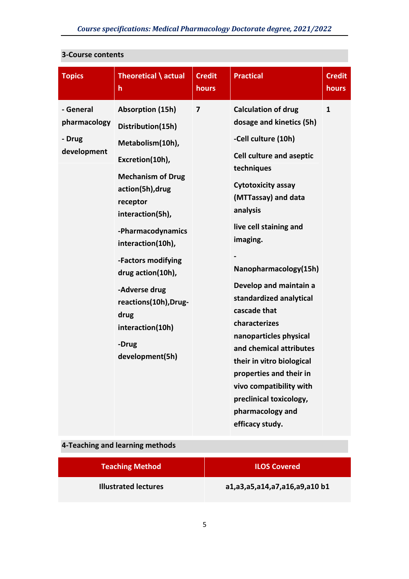| <b>Topics</b>                                      | Theoretical \ actual<br>h                                                                                                                                                                                                                                                                                                                                  | <b>Credit</b><br>hours | <b>Practical</b>                                                                                                                                                                                                                                                                                                                                                                                                                                                                                                                                              | <b>Credit</b><br>hours |
|----------------------------------------------------|------------------------------------------------------------------------------------------------------------------------------------------------------------------------------------------------------------------------------------------------------------------------------------------------------------------------------------------------------------|------------------------|---------------------------------------------------------------------------------------------------------------------------------------------------------------------------------------------------------------------------------------------------------------------------------------------------------------------------------------------------------------------------------------------------------------------------------------------------------------------------------------------------------------------------------------------------------------|------------------------|
| - General<br>pharmacology<br>- Drug<br>development | <b>Absorption (15h)</b><br>Distribution(15h)<br>Metabolism(10h),<br>Excretion(10h),<br><b>Mechanism of Drug</b><br>action(5h), drug<br>receptor<br>interaction(5h),<br>-Pharmacodynamics<br>interaction(10h),<br>-Factors modifying<br>drug action(10h),<br>-Adverse drug<br>reactions(10h), Drug-<br>drug<br>interaction(10h)<br>-Drug<br>development(5h) | 7                      | <b>Calculation of drug</b><br>dosage and kinetics (5h)<br>-Cell culture (10h)<br><b>Cell culture and aseptic</b><br>techniques<br><b>Cytotoxicity assay</b><br>(MTTassay) and data<br>analysis<br>live cell staining and<br>imaging.<br>Nanopharmacology(15h)<br>Develop and maintain a<br>standardized analytical<br>cascade that<br>characterizes<br>nanoparticles physical<br>and chemical attributes<br>their in vitro biological<br>properties and their in<br>vivo compatibility with<br>preclinical toxicology,<br>pharmacology and<br>efficacy study. | $\mathbf{1}$           |

### **3-Course contents**

# **4-Teaching and learning methods**

| <b>Teaching Method</b>      | <b>ILOS Covered</b>           |
|-----------------------------|-------------------------------|
| <b>Illustrated lectures</b> | a1,a3,a5,a14,a7,a16,a9,a10 b1 |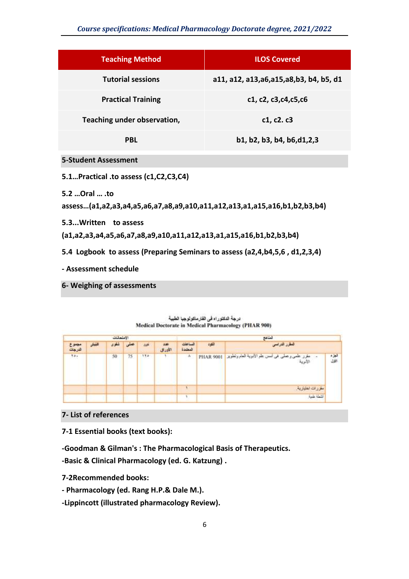#### *Course specifications: Medical Pharmacology Doctorate degree, 2021/2022*

| <b>Teaching Method</b>                                                                       | <b>ILOS Covered</b>                        |
|----------------------------------------------------------------------------------------------|--------------------------------------------|
| <b>Tutorial sessions</b>                                                                     | a11, a12, a13, a6, a15, a8, b3, b4, b5, d1 |
| <b>Practical Training</b>                                                                    | c1, c2, c3, c4, c5, c6                     |
| Teaching under observation,                                                                  | c1, c2. c3                                 |
| <b>PBL</b>                                                                                   | b1, b2, b3, b4, b6,d1,2,3                  |
| <b>5-Student Assessment</b>                                                                  |                                            |
| 5.1Practical .to assess (c1,C2,C3,C4)                                                        |                                            |
| 5.2  Oral  .to<br>assess(a1,a2,a3,a4,a5,a6,a7,a8,a9,a10,a11,a12,a13,a1,a15,a16,b1,b2,b3,b4)  |                                            |
| 5.3 Written to assess<br>(a1,a2,a3,a4,a5,a6,a7,a8,a9,a10,a11,a12,a13,a1,a15,a16,b1,b2,b3,b4) |                                            |
| 5.4 Logbook to assess (Preparing Seminars to assess (a2,4,b4,5,6, d1,2,3,4)                  |                                            |
| - Assessment schedule                                                                        |                                            |

**6- Weighing of assessments**

|                | تعتامج                                                        |                  |                      | الاستحانات        |       |    |      |        |                 |
|----------------|---------------------------------------------------------------|------------------|----------------------|-------------------|-------|----|------|--------|-----------------|
|                | المقرر التراسي                                                | للثود            | الساعلان<br>المعتمدة | 3.968<br>الأوزالى | تلخلة |    | شقوى | اللهقي | بجبرع<br>تدرجات |
| لعز ہ<br>اتاول | علمي وحملي في أسس علم الإدرية العام وتطوير<br>مغرر<br>الأنوية | <b>PHAR 9001</b> | $\Lambda$            |                   | 1.14  | 75 | 50   |        | 701             |
|                | مقررات اختيارية                                               |                  | <b>A</b>             |                   |       |    |      |        |                 |
|                | <b>Like Hall</b>                                              |                  |                      |                   |       |    |      |        |                 |

درجة الدكتوراه فى الفارساكولوجيا الطبية Medical Doctorate in Medical Pharmacology (PHAR 900)

**7- List of references**

**7-1 Essential books (text books):**

**-Goodman & Gilman's : The Pharmacological Basis of Therapeutics. -Basic & Clinical Pharmacology (ed. G. Katzung) .**

**7-2Recommended books:**

**- Pharmacology (ed. Rang H.P.& Dale M.).**

**-Lippincott (illustrated pharmacology Review).**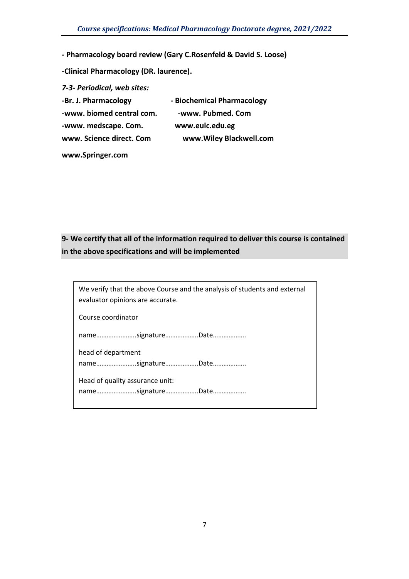**- Pharmacology board review (Gary C.Rosenfeld & David S. Loose)**

**-Clinical Pharmacology (DR. laurence).**

*7-3- Periodical, web sites:* **-Br. J. Pharmacology - Biochemical Pharmacology** -www. biomed central com. **-www. Pubmed. Com -www. medscape. Com. www.eulc.edu.eg www. Science direct. Com www.Wiley Blackwell.com**

**[www.Springer.com](http://www.springer.com/)**

## **9- We certify that all of the information required to deliver this course is contained in the above specifications and will be implemented**

We verify that the above Course and the analysis of students and external evaluator opinions are accurate.

Course coordinator

name…………………..signature……………….Date……………….

head of department name…………………..signature……………….Date……………….

Head of quality assurance unit: name…………………..signature……………….Date……………….